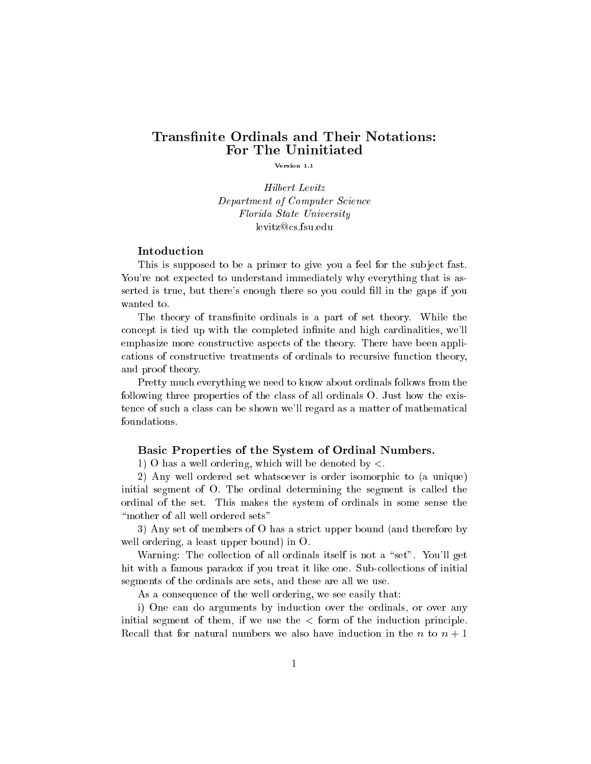# Transfinite Ordinals and Their Notations: For The Uninitiated

Version 1.1

**Hilbert Levitz** Department of Computer Science Florida State University levitz@cs.fsu.edu

# Intoduction

This is supposed to be a primer to give you a feel for the subject fast. You're not expected to understand immediately why everything that is asserted is true, but there's enough there so you could fill in the gaps if you wanted to.

The theory of transfinite ordinals is a part of set theory. While the concept is tied up with the completed infinite and high cardinalities, we'll emphasize more constructive aspects of the theory. There have been applications of constructive treatments of ordinals to recursive function theory, and proof theory.

Pretty much everything we need to know about ordinals follows from the following three properties of the class of all ordinals O. Just how the existence of such a class can be shown we'll regard as a matter of mathematical foundations.

### Basic Properties of the System of Ordinal Numbers.

1) O has a well ordering, which will be denoted by  $\lt$ .

2) Any well ordered set whatsoever is order isomorphic to (a unique) initial segment of O. The ordinal determining the segment is called the ordinal of the set. This makes the system of ordinals in some sense the "mother of all well ordered sets"

3) Any set of members of O has a strict upper bound (and therefore by well ordering, a least upper bound) in O.

Warning: The collection of all ordinals itself is not a "set". You'll get hit with a famous paradox if you treat it like one. Sub-collections of initial segments of the ordinals are sets, and these are all we use.

As a consequence of the well ordering, we see easily that:

i) One can do arguments by induction over the ordinals, or over any initial segment of them, if we use the  $\lt$  form of the induction principle. Recall that for natural numbers we also have induction in the n to  $n + 1$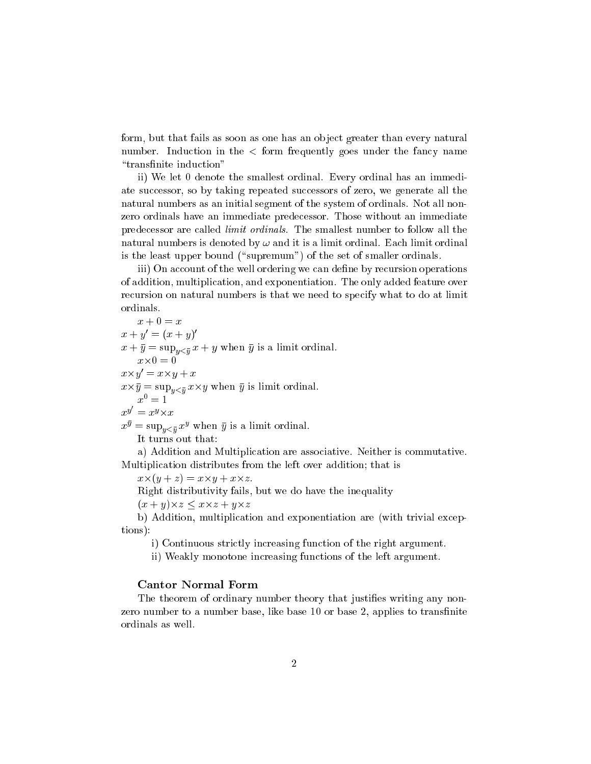form, but that fails as soon as one has an object greater than every natural number. Induction in the  $\langle$  form frequently goes under the fancy name "transfinite induction"

ii) We let 0 denote the smallest ordinal. Every ordinal has an immediate successor, so by taking repeated successors of zero, we generate all the natural numbers as an initial segment of the system of ordinals. Not all nonzero ordinals have an immediate predecessor. Those without an immediate predecessor are called limit ordinals. The smallest number to follow all the natural numbers is denoted by  $\omega$  and it is a limit ordinal. Each limit ordinal is the least upper bound ("supremum") of the set of smaller ordinals.

iii) On account of the well ordering we can define by recursion operations of addition, multiplication, and exponentiation. The only added feature over recursion on natural numbers is that we need to specify what to do at limit ordinals.

 $x+0=x$  + 0 = <sup>x</sup>  $x + y = (x + y)$  $\sim$  y  $\sim$  supplying  $\sim$  y  $\sim$  supplying  $\sim$  y is a limit ordinal to the substantial.  $x \times y = x \times y + x$  $\cdots$  y is support that  $y$  is support to the support of  $y$  is the support of  $y$  is limited to  $y$  $x^0=1$  $x^y = x^y \times$  $x^{\overline{s}} = \sup_{y < \bar{y}} x^{\overline{s}}$  when y is a limit ordinal. It turns out that:

a) Addition and Multiplication are associative. Neither is commutative. Multiplication distributes from the left over addition; that is

x-(y + z) = x-y + x-z.

Right distributivity fails, but we do have the inequality

(x + y)-z x-z + y-z

b) Addition, multiplication and exponentiation are (with trivial exceptions):

i) Continuous strictly increasing function of the right argument.

ii) Weakly monotone increasing functions of the left argument.

#### Cantor Normal Form

The theorem of ordinary number theory that justifies writing any nonzero number to a number base, like base 10 or base 2, applies to transfinite ordinals as well.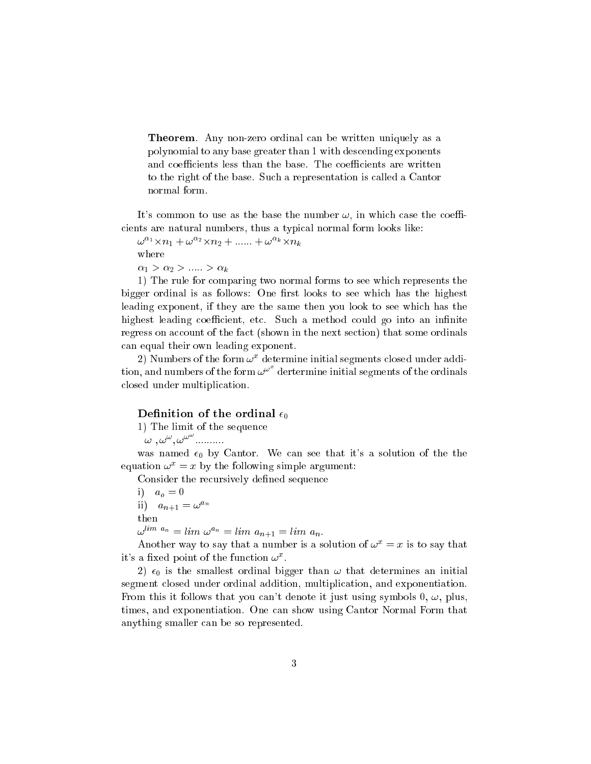Theorem. Any non-zero ordinal can be written uniquely as a polynomial to any base greater than 1 with descending exponents and coefficients less than the base. The coefficients are written to the right of the base. Such a representation is called a Cantor normal form.

It's common to use as the base the number  $\omega$ , in which case the coefficients are natural numbers, thus a typical normal form looks like:

 $\omega$   $\cdots$   $\times$   $n_1$   $+$   $\omega$   $\cdots$   $\times$   $n_k$   $+$   $\ldots$   $\ldots$   $+$   $\omega$   $\cdots$   $\times$   $n_k$ where  $\alpha_1 > \alpha_2 > \ldots > \alpha_k$ 

1) The rule for comparing two normal forms to see which represents the bigger ordinal is as follows: One first looks to see which has the highest leading exponent, if they are the same then you look to see which has the highest leading coefficient, etc. Such a method could go into an infinite regress on account of the fact (shown in the next section) that some ordinals can equal their own leading exponent.

 $\omega$ ) is unifiered the form  $\omega$  - determine initial segments closed under addition, and numbers of the form  $\omega^{\omega^*}$  dertermine initial segments of the ordinals closed under multiplication.

# Definition of the ordinal  $\epsilon_0$

1) The limit of the sequence

 $\omega$ ,  $\omega^{\omega}$ ,  $\omega^{\omega}$  ..........

was named  $\epsilon_0$  by Cantor. We can see that it's a solution of the the equation  $\omega^x = x$  by the following simple argument:

Consider the recursively defined sequence

i)  $a_o = 0$ ii)  $a_{n+1} = \omega^{a_n}$ then  $\omega^{1} = \omega^{1} = \omega^{1} = \omega^{1} = \omega^{1} = \omega^{1} = \omega^{1} = \omega^{1} = \omega^{1} = \omega^{1} = \omega^{1} = \omega^{1} = \omega^{1} = \omega^{1} = \omega^{1} = \omega^{1} = \omega^{1} = \omega^{1} = \omega^{1} = \omega^{1} = \omega^{1} = \omega^{1} = \omega^{1} = \omega^{1} = \omega^{1} = \omega^{1} = \omega^{1} = \omega^{1} = \omega^{1} = \omega^{1} = \omega^{1} = \omega^{1} = \omega^{1} = \omega^{1} = \omega^{1} = \omega^{1} = \omega^{1$ 

Another way to say that a number is a solution of  $\omega^x = x$  is to say that it's a fixed point of the function  $\omega^x$ .

2)  $\epsilon_0$  is the smallest ordinal bigger than  $\omega$  that determines an initial segment closed under ordinal addition, multiplication, and exponentiation. From this it follows that you can't denote it just using symbols 0,  $\omega$ , plus, times, and exponentiation. One can show using Cantor Normal Form that anything smaller can be so represented.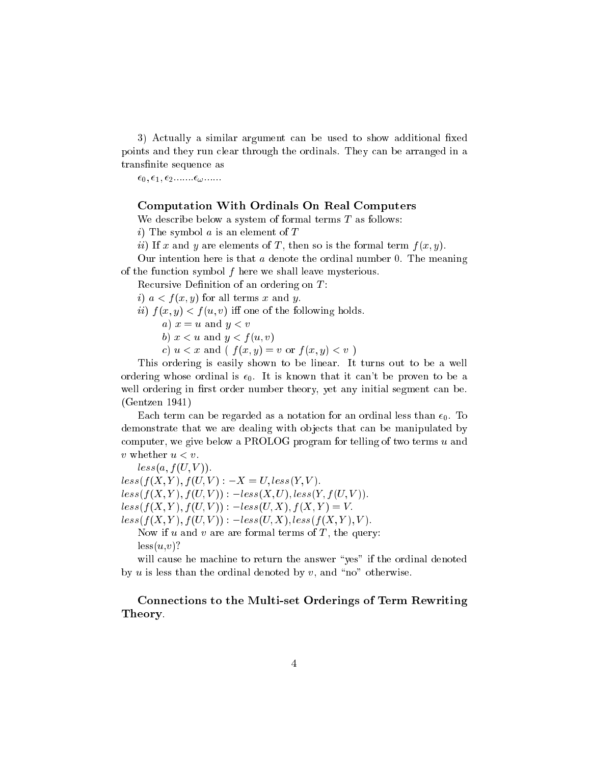3) Actually a similar argument can be used to show additional fixed points and they run clear through the ordinals. They can be arranged in a transfinite sequence as

 $\epsilon_0, \epsilon_1, \epsilon_2 \ldots \ldots \epsilon_{\omega} \ldots \ldots$ 

## Computation With Ordinals On Real Computers

We describe below a system of formal terms  $T$  as follows:

i) The symbol  $a$  is an element of  $T$ 

ii) If x and y are elements of T, then so is the formal term  $f(x, y)$ .

Our intention here is that  $a$  denote the ordinal number 0. The meaning of the function symbol <sup>f</sup> here we shall leave mysterious.

Recursive Definition of an ordering on  $T$ :

i)  $a < f(x, y)$  for all terms x and y.

ii)  $f(x, y) < f(u, v)$  iff one of the following holds.

a)  $x = u$  and  $y < v$ 

b)  $x < u$  and  $y < f(u, v)$ 

c)  $u < x$  and (  $f(x, y) = v$  or  $f(x, y) < v$ )

This ordering is easily shown to be linear. It turns out to be a well ordering whose ordinal is  $\epsilon_0$ . It is known that it can't be proven to be a well ordering in first order number theory, yet any initial segment can be. (Gentzen 1941)

Each term can be regarded as a notation for an ordinal less than  $\epsilon_0$ . To demonstrate that we are dealing with objects that can be manipulated by computer, we give below a PROLOG program for telling of two terms <sup>u</sup> and v whether <sup>u</sup> <sup>&</sup>lt; v.

 $less(a, f(U, V)).$  $less(f(X, Y), f(U, V)) : -X = U, less(Y, V).$  $less(f(X, Y), f(U, V)) : -less(X, U), less(Y, f(U, V)).$  $less(f(X, Y), f(U, V)) : -less(U, X), f(X, Y) = V.$  $less(f(X, Y), f(U, V))$  :  $-less(U, X), less(f(X, Y), V)$ . Now if u and v are are formal terms of  $T$ , the query:  $less(u,v)$ ?

will cause he machine to return the answer "yes" if the ordinal denoted by  $u$  is less than the ordinal denoted by  $v$ , and "no" otherwise.

Connections to the Multi-set Orderings of Term Rewriting Theory.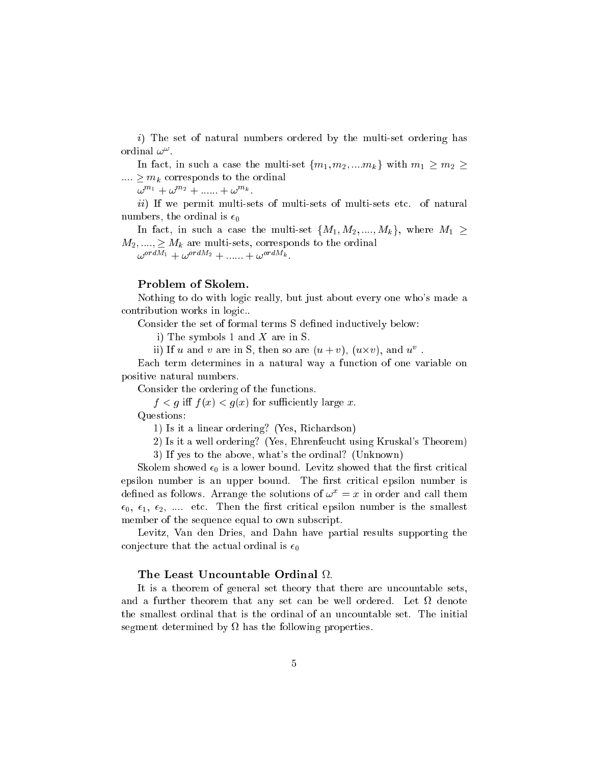i) The set of natural numbers ordered by the multi-set ordering has ordinal  $\omega^{\mathbb{h}}$  .

In fact, in such a case the multi-set  $\{m_1, m_2, ..., m_k\}$  with  $m_1 \geq m_2 \geq$ ::::  $\mu$  ::::  $\mu$  corresponds to the ordinal corresponds to the ordinal corresponds to the ordinal contract of  $\mu$ 

 $\omega$  "  $^{\cdot}$  +  $\omega$  "  $^{\prime\prime}$  + ...... +  $\omega$  "  $^{\prime\prime}$  .

ii) If we permit multi-sets of multi-sets of multi-sets etc. of natural numbers, the ordinal is  $\epsilon_0$ 

In fact, in such a case the multi-set  $\{M_1, M_2, ..., M_k\}$ , where  $M_1 \geq$  $M_2, ..., \geq M_k$  are multi-sets, corresponds to the ordinal  $\omega$ .  $\omega$ .  $\omega$ .  $\omega$ .  $\omega$ .  $\omega$ .  $\omega$ .  $\omega$ .  $\omega$ .  $\omega$ .  $\omega$ .  $\omega$ .  $\omega$ .  $\omega$ .  $\omega$ .  $\omega$ .  $\omega$ .  $\omega$ .  $\omega$ .  $\omega$ .  $\omega$ .  $\omega$ .  $\omega$ .  $\omega$ .  $\omega$ .  $\omega$ .  $\omega$ .  $\omega$ .  $\omega$ .  $\omega$ .  $\omega$ .  $\omega$ .  $\omega$ .  $\omega$ .  $\omega$ .  $\omega$ .  $\omega$ .

# Problem of Skolem.

Nothing to do with logic really, but just about every one who's made a contribution works in logic..

Consider the set of formal terms S defined inductively below:

i) The symbols 1 and <sup>X</sup> are in S.

II) If u and v are in S, then so are  $(u + v)$ ,  $(u \times v)$ , and  $u$ .

Each term determines in a natural way a function of one variable on positive natural numbers.

Consider the ordering of the functions.

 $f \colon \mathbb{R}^n \to \mathbb{R}^n$  for  $f \colon \mathbb{R}^n$  for such that  $f$  is the successive  $f$  is the such that  $f$ 

Questions:

1) Is it a linear ordering? (Yes, Richardson)

2) Is it a well ordering? (Yes, Ehrenfeucht using Kruskal's Theorem)

3) If yes to the above, what's the ordinal? (Unknown)

Skolem showed  $\epsilon_0$  is a lower bound. Levitz showed that the first critical epsilon number is an upper bound. The first critical epsilon number is defined as follows. Arrange the solutions of  $\omega^x = x$  in order and call them  $\epsilon_0, \epsilon_1, \epsilon_2, \ldots$  etc. Then the first critical epsilon number is the smallest member of the sequence equal to own subscript.

Levitz, Van den Dries, and Dahn have partial results supporting the conjecture that the actual ordinal is  $\epsilon_0$ 

It is a theorem of general set theory that there are uncountable sets, and a further theorem that any set can be well ordered. Let us well or the smallest ordinal that is the ordinal of an uncountable set. The initial segment determined by has the following properties.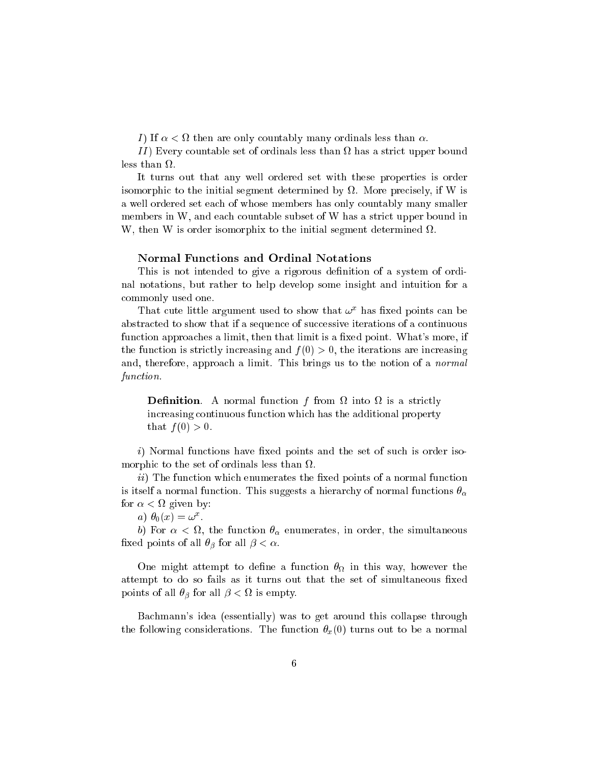I is defined as a then are only contable many ordinals less than  $\mathcal{A}$ 

I I ) Every countable set of ordinals less than has a strict upper bound

It turns out that any well ordered set with these properties is order isomorphic to the initial segment determined by . More precisely, if W is a well ordered set each of whose members has only countably many smaller members in W, and each countable subset of W has a strict upper bound in W, then W is order isomorphix to the initial segment determined .

### Normal Functions and Ordinal Notations

This is not intended to give a rigorous definition of a system of ordinal notations, but rather to help develop some insight and intuition for a commonly used one.

I hat cute in the argument used to show that  $\omega^+$  has fixed points can be abstracted to show that if a sequence of successive iterations of a continuous function approaches a limit, then that limit is a fixed point. What's more, if the function is strictly increasing and  $f(0) > 0$ , the iterations are increasing and, therefore, approach a limit. This brings us to the notion of a normal function.

— into the contraction function from  $\mu$  and the from  $\mu$  is a strictly from  $\mu$ increasing continuous function which has the additional property that  $f(0) > 0$ .

 $i)$  Normal functions have fixed points and the set of such is order isomorphic to the set of ordinals less than  $\mathcal{C}$  than  $\mathcal{C}$  to the set of ordinals less than  $\mathcal{C}$  than  $\mathcal{C}$ 

 $ii)$  The function which enumerates the fixed points of a normal function is itself a normal function. This suggests a hierarchy of normal functions  $\theta_{\alpha}$ for <sup>&</sup>lt; given by:

 $a_{\ell}$ ,  $\sigma_0(x) = \omega^{\perp}$ .

b) For <sup>&</sup>lt; , the function enumerates, in order, the simultaneous fixed points of all  $\theta_{\beta}$  for all  $\beta < \alpha$ .

one might attempt to demonstrate a function of the this way, however the second attempt to do so fails as it turns out that the set of simultaneous fixed  $p$  compares the state  $p$  and state  $p$  , where  $p$  are compared  $p$  .  $\bar{p}$ 

Bachmann's idea (essentially) was to get around this collapse through the following considerations. The function  $\theta_x(0)$  turns out to be a normal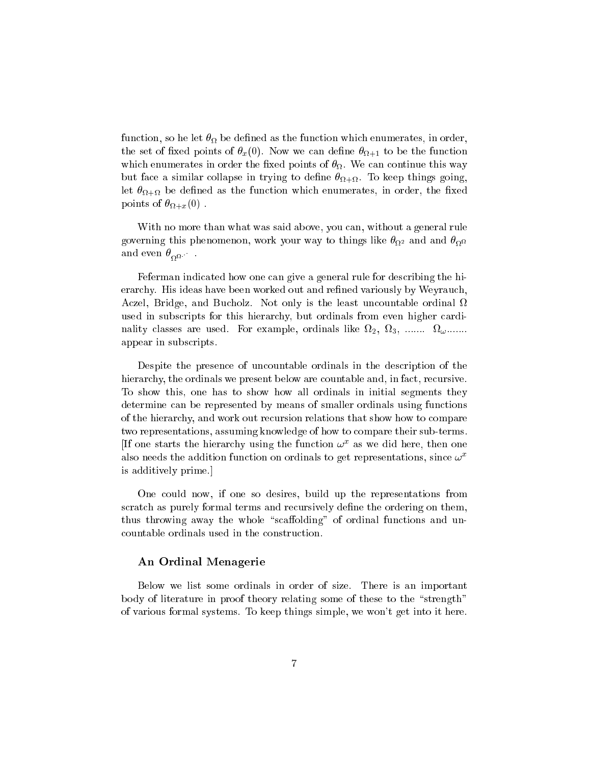function, so he let  $\mathbf{a}$  he let  $\mathbf{b}$  as the function which enumerates, in order, in order, in order, in order, in order, in order, in order, in order, in order, in order, in order, in order, in order, in order, in the set of the set of  $\mu_1\vee\ldots$  . Now we can define the function  $\mu_1$ where the continue the continue three continues in order the continue three continues of  $M$  $\alpha$  are similar collapse in trying to define the  $\alpha$  in this  $\alpha$  collapse going, let + be dened as the function which enumerates, in order, the xed p ----- -- - - 35 . 20 . 9 . .

With no more than what was said above, you can, without a general rule  $\circ$  and and  $\circ$  there is phenomenon, work your way to things like this  $N_{\rm m}$ and even  $v^{\rm OSO}$  .

Feferman indicated how one can give a general rule for describing the hierarchy. His ideas have been worked out and refined variously by Weyrauch. Aczel, Bridge, and Bucholz. Not only is the least uncountable ordinal  $\Omega$ used in subscripts for this hierarchy, but ordinals from even higher cardinality classes are used. For example, ordinals like 2, 3, ....... !....... appear in subscripts.

Despite the presence of uncountable ordinals in the description of the hierarchy, the ordinals we present below are countable and, in fact, recursive. To show this, one has to show how all ordinals in initial segments they determine can be represented by means of smaller ordinals using functions of the hierarchy, and work out recursion relations that show how to compare two representations, assuming knowledge of how to compare their sub-terms. In one starts the hierarchy using the function  $\omega^-$  as we did here, then one also needs the addition function on ordinals to get representations, since  $\omega^x$ is additively prime.]

One could now, if one so desires, build up the representations from scratch as purely formal terms and recursively define the ordering on them, thus throwing away the whole "scaffolding" of ordinal functions and uncountable ordinals used in the construction.

## An Ordinal Menagerie

Below we list some ordinals in order of size. There is an important body of literature in proof theory relating some of these to the "strength" of various formal systems. To keep things simple, we won't get into it here.